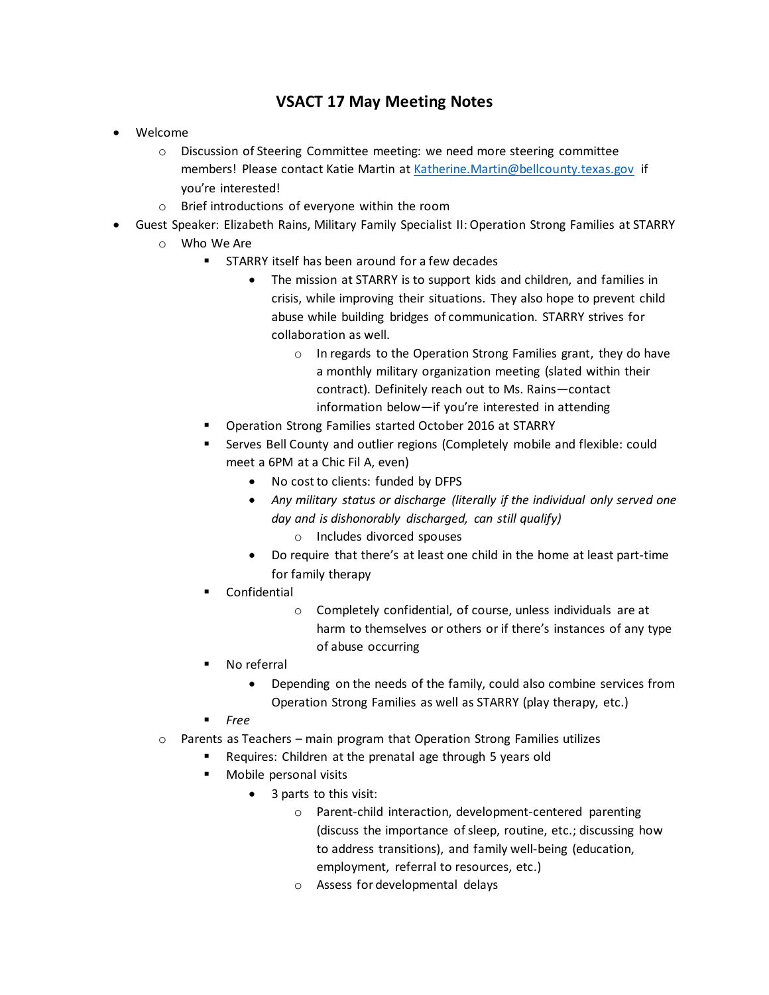## **VSACT 17 May Meeting Notes**

- Welcome
	- o Discussion of Steering Committee meeting: we need more steering committee members! Please contact Katie Martin a[t Katherine.Martin@bellcounty.texas.gov](mailto:Katherine.Martin@bellcounty.texas.gov) if you're interested!
	- o Brief introductions of everyone within the room
- Guest Speaker: Elizabeth Rains, Military Family Specialist II: Operation Strong Families at STARRY
	- o Who We Are
		- STARRY itself has been around for a few decades
			- The mission at STARRY is to support kids and children, and families in crisis, while improving their situations. They also hope to prevent child abuse while building bridges of communication. STARRY strives for collaboration as well.
				- o In regards to the Operation Strong Families grant, they do have a monthly military organization meeting (slated within their contract). Definitely reach out to Ms. Rains—contact information below—if you're interested in attending
		- Operation Strong Families started October 2016 at STARRY
		- Serves Bell County and outlier regions (Completely mobile and flexible: could meet a 6PM at a Chic Fil A, even)
			- No cost to clients: funded by DFPS
			- *Any military status or discharge (literally if the individual only served one day and is dishonorably discharged, can still qualify)*
				- o Includes divorced spouses
			- Do require that there's at least one child in the home at least part-time for family therapy
		- **Confidential** 
			- o Completely confidential, of course, unless individuals are at harm to themselves or others or if there's instances of any type of abuse occurring
		- No referral
			- Depending on the needs of the family, could also combine services from Operation Strong Families as well as STARRY (play therapy, etc.)
		- *Free*
	- $\circ$  Parents as Teachers main program that Operation Strong Families utilizes
		- Requires: Children at the prenatal age through 5 years old
		- Mobile personal visits
			- 3 parts to this visit:
				- o Parent-child interaction, development-centered parenting (discuss the importance of sleep, routine, etc.; discussing how to address transitions), and family well-being (education, employment, referral to resources, etc.)
				- o Assess for developmental delays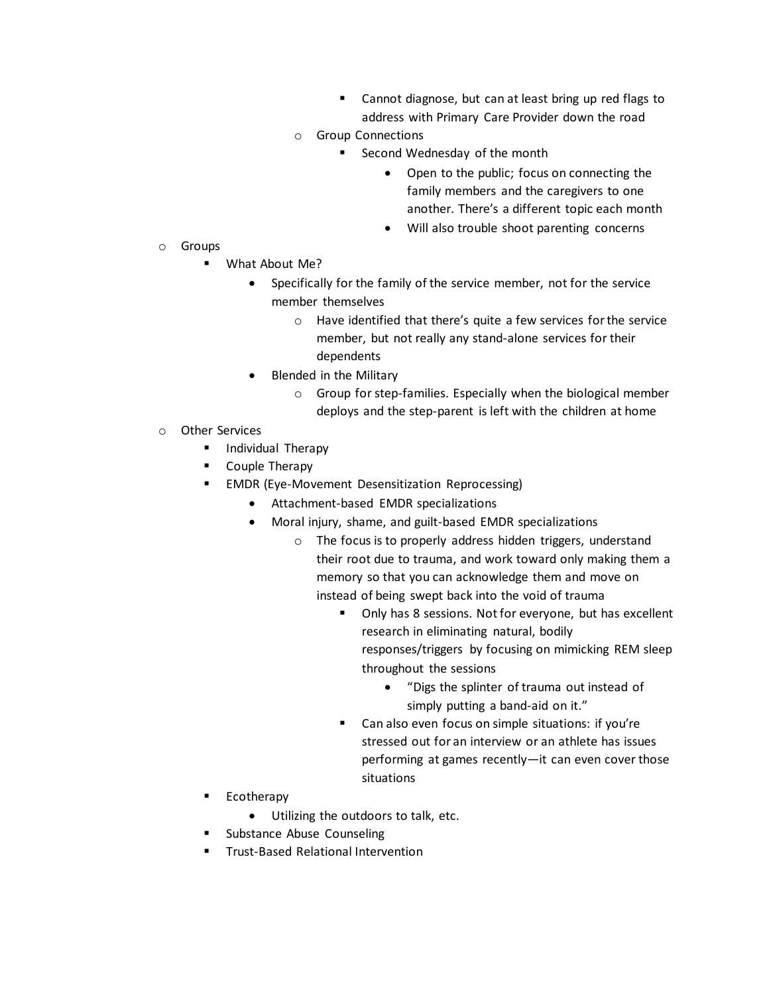- Cannot diagnose, but can at least bring up red flags to address with Primary Care Provider down the road
- o Group Connections
	- Second Wednesday of the month
		- Open to the public; focus on connecting the family members and the caregivers to one another. There's a different topic each month
		- Will also trouble shoot parenting concerns

- o Groups
	- What About Me?
		- Specifically for the family of the service member, not for the service member themselves
			- o Have identified that there's quite a few services for the service member, but not really any stand-alone services for their dependents
		- Blended in the Military
			- o Group for step-families. Especially when the biological member deploys and the step-parent is left with the children at home
- o Other Services
	- **·** Individual Therapy
	- Couple Therapy
	- **EMDR (Eye-Movement Desensitization Reprocessing)** 
		- Attachment-based EMDR specializations
		- Moral injury, shame, and guilt-based EMDR specializations
			- o The focus is to properly address hidden triggers, understand their root due to trauma, and work toward only making them a memory so that you can acknowledge them and move on instead of being swept back into the void of trauma
				- Only has 8 sessions. Not for everyone, but has excellent research in eliminating natural, bodily responses/triggers by focusing on mimicking REM sleep throughout the sessions
					- "Digs the splinter of trauma out instead of simply putting a band-aid on it."
				- Can also even focus on simple situations: if you're stressed out for an interview or an athlete has issues performing at games recently—it can even cover those situations
	- Ecotherapy
		- Utilizing the outdoors to talk, etc.
	- Substance Abuse Counseling
	- **Trust-Based Relational Intervention**